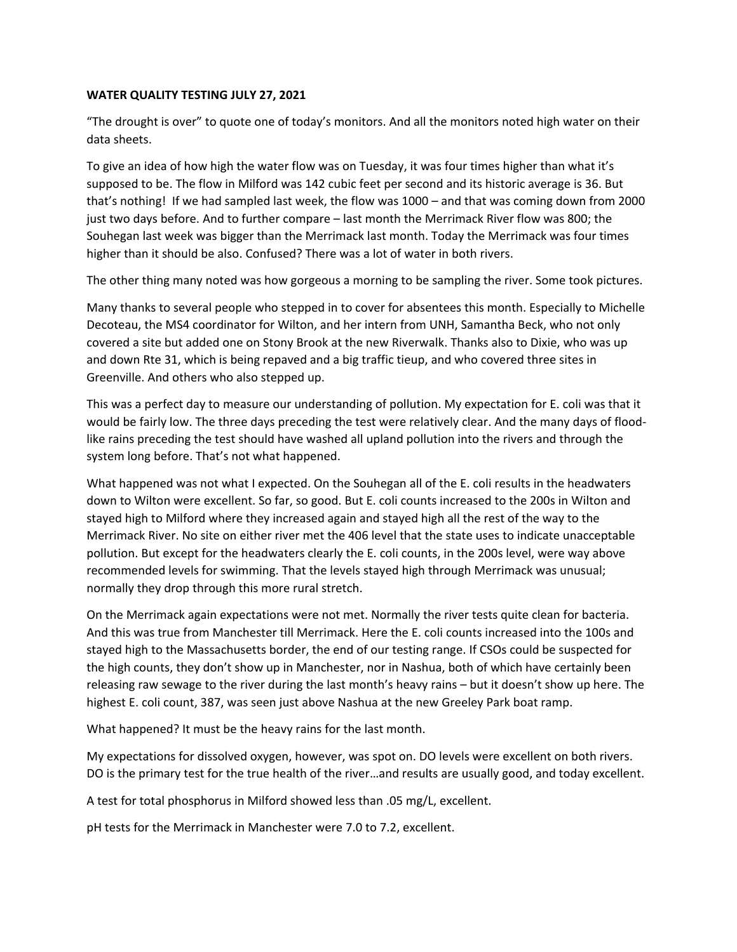# **WATER QUALITY TESTING JULY 27, 2021**

"The drought is over" to quote one of today's monitors. And all the monitors noted high water on their data sheets.

To give an idea of how high the water flow was on Tuesday, it was four times higher than what it's supposed to be. The flow in Milford was 142 cubic feet per second and its historic average is 36. But that's nothing! If we had sampled last week, the flow was 1000 – and that was coming down from 2000 just two days before. And to further compare – last month the Merrimack River flow was 800; the Souhegan last week was bigger than the Merrimack last month. Today the Merrimack was four times higher than it should be also. Confused? There was a lot of water in both rivers.

The other thing many noted was how gorgeous a morning to be sampling the river. Some took pictures.

Many thanks to several people who stepped in to cover for absentees this month. Especially to Michelle Decoteau, the MS4 coordinator for Wilton, and her intern from UNH, Samantha Beck, who not only covered a site but added one on Stony Brook at the new Riverwalk. Thanks also to Dixie, who was up and down Rte 31, which is being repaved and a big traffic tieup, and who covered three sites in Greenville. And others who also stepped up.

This was a perfect day to measure our understanding of pollution. My expectation for E. coli was that it would be fairly low. The three days preceding the test were relatively clear. And the many days of floodlike rains preceding the test should have washed all upland pollution into the rivers and through the system long before. That's not what happened.

What happened was not what I expected. On the Souhegan all of the E. coli results in the headwaters down to Wilton were excellent. So far, so good. But E. coli counts increased to the 200s in Wilton and stayed high to Milford where they increased again and stayed high all the rest of the way to the Merrimack River. No site on either river met the 406 level that the state uses to indicate unacceptable pollution. But except for the headwaters clearly the E. coli counts, in the 200s level, were way above recommended levels for swimming. That the levels stayed high through Merrimack was unusual; normally they drop through this more rural stretch.

On the Merrimack again expectations were not met. Normally the river tests quite clean for bacteria. And this was true from Manchester till Merrimack. Here the E. coli counts increased into the 100s and stayed high to the Massachusetts border, the end of our testing range. If CSOs could be suspected for the high counts, they don't show up in Manchester, nor in Nashua, both of which have certainly been releasing raw sewage to the river during the last month's heavy rains – but it doesn't show up here. The highest E. coli count, 387, was seen just above Nashua at the new Greeley Park boat ramp.

What happened? It must be the heavy rains for the last month.

My expectations for dissolved oxygen, however, was spot on. DO levels were excellent on both rivers. DO is the primary test for the true health of the river…and results are usually good, and today excellent.

A test for total phosphorus in Milford showed less than .05 mg/L, excellent.

pH tests for the Merrimack in Manchester were 7.0 to 7.2, excellent.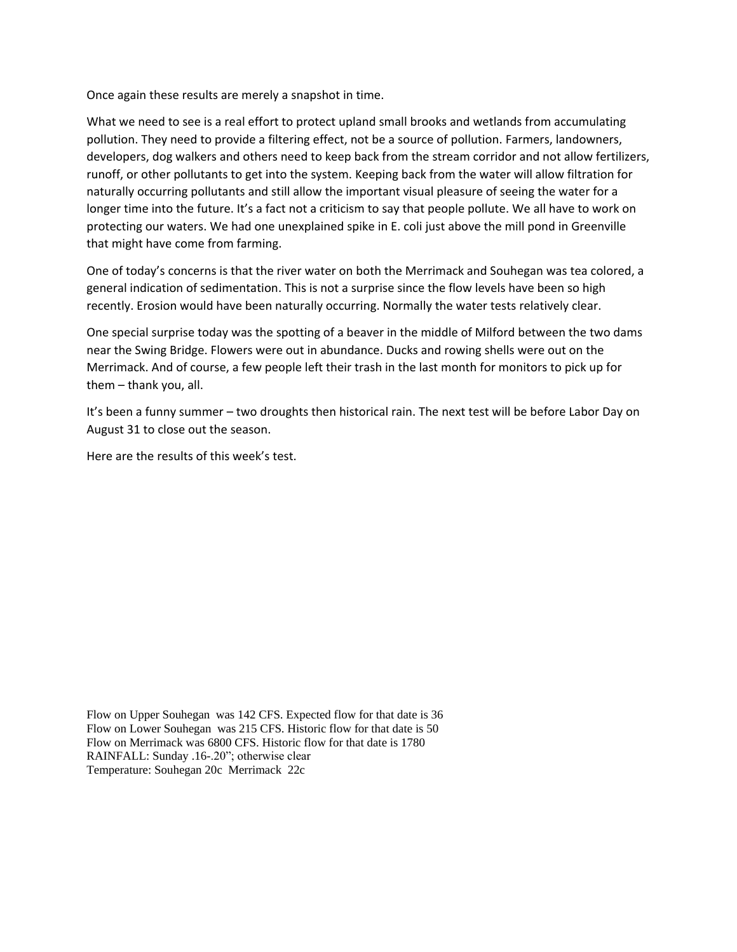Once again these results are merely a snapshot in time.

What we need to see is a real effort to protect upland small brooks and wetlands from accumulating pollution. They need to provide a filtering effect, not be a source of pollution. Farmers, landowners, developers, dog walkers and others need to keep back from the stream corridor and not allow fertilizers, runoff, or other pollutants to get into the system. Keeping back from the water will allow filtration for naturally occurring pollutants and still allow the important visual pleasure of seeing the water for a longer time into the future. It's a fact not a criticism to say that people pollute. We all have to work on protecting our waters. We had one unexplained spike in E. coli just above the mill pond in Greenville that might have come from farming.

One of today's concerns is that the river water on both the Merrimack and Souhegan was tea colored, a general indication of sedimentation. This is not a surprise since the flow levels have been so high recently. Erosion would have been naturally occurring. Normally the water tests relatively clear.

One special surprise today was the spotting of a beaver in the middle of Milford between the two dams near the Swing Bridge. Flowers were out in abundance. Ducks and rowing shells were out on the Merrimack. And of course, a few people left their trash in the last month for monitors to pick up for them – thank you, all.

It's been a funny summer – two droughts then historical rain. The next test will be before Labor Day on August 31 to close out the season.

Here are the results of this week's test.

Flow on Upper Souhegan was 142 CFS. Expected flow for that date is 36 Flow on Lower Souhegan was 215 CFS. Historic flow for that date is 50 Flow on Merrimack was 6800 CFS. Historic flow for that date is 1780 RAINFALL: Sunday .16-.20"; otherwise clear Temperature: Souhegan 20c Merrimack 22c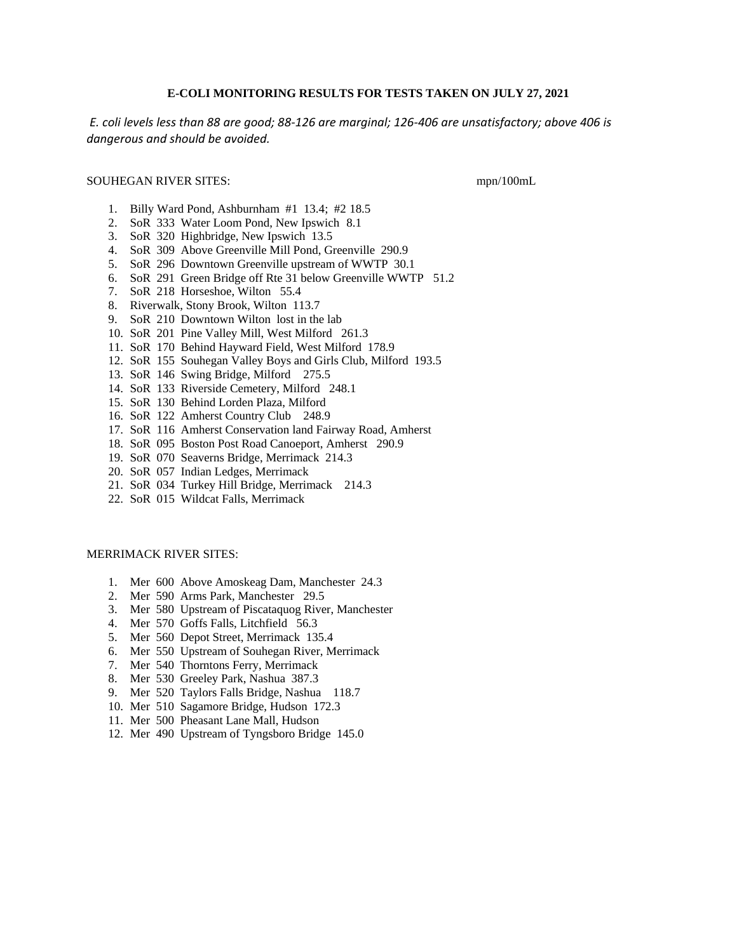# **E-COLI MONITORING RESULTS FOR TESTS TAKEN ON JULY 27, 2021**

*E. coli levels less than 88 are good; 88-126 are marginal; 126-406 are unsatisfactory; above 406 is dangerous and should be avoided.*

## SOUHEGAN RIVER SITES: mpn/100mL

- 1. Billy Ward Pond, Ashburnham #1 13.4; #2 18.5
- 2. SoR 333 Water Loom Pond, New Ipswich 8.1
- 3. SoR 320 Highbridge, New Ipswich 13.5
- 4. SoR 309 Above Greenville Mill Pond, Greenville 290.9
- 5. SoR 296 Downtown Greenville upstream of WWTP 30.1
- 6. SoR 291 Green Bridge off Rte 31 below Greenville WWTP 51.2
- 7. SoR 218 Horseshoe, Wilton 55.4
- 8. Riverwalk, Stony Brook, Wilton 113.7
- 9. SoR 210 Downtown Wilton lost in the lab
- 10. SoR 201 Pine Valley Mill, West Milford 261.3
- 11. SoR 170 Behind Hayward Field, West Milford 178.9
- 12. SoR 155 Souhegan Valley Boys and Girls Club, Milford 193.5
- 13. SoR 146 Swing Bridge, Milford 275.5
- 14. SoR 133 Riverside Cemetery, Milford 248.1
- 15. SoR 130 Behind Lorden Plaza, Milford
- 16. SoR 122 Amherst Country Club 248.9
- 17. SoR 116 Amherst Conservation land Fairway Road, Amherst
- 18. SoR 095 Boston Post Road Canoeport, Amherst 290.9
- 19. SoR 070 Seaverns Bridge, Merrimack 214.3
- 20. SoR 057 Indian Ledges, Merrimack
- 21. SoR 034 Turkey Hill Bridge, Merrimack 214.3
- 22. SoR 015 Wildcat Falls, Merrimack

### MERRIMACK RIVER SITES:

- 1. Mer 600 Above Amoskeag Dam, Manchester 24.3
- 2. Mer 590 Arms Park, Manchester 29.5
- 3. Mer 580 Upstream of Piscataquog River, Manchester
- 4. Mer 570 Goffs Falls, Litchfield 56.3
- 5. Mer 560 Depot Street, Merrimack 135.4
- 6. Mer 550 Upstream of Souhegan River, Merrimack
- 7. Mer 540 Thorntons Ferry, Merrimack
- 8. Mer 530 Greeley Park, Nashua 387.3
- 9. Mer 520 Taylors Falls Bridge, Nashua 118.7
- 10. Mer 510 Sagamore Bridge, Hudson 172.3
- 11. Mer 500 Pheasant Lane Mall, Hudson
- 12. Mer 490 Upstream of Tyngsboro Bridge 145.0